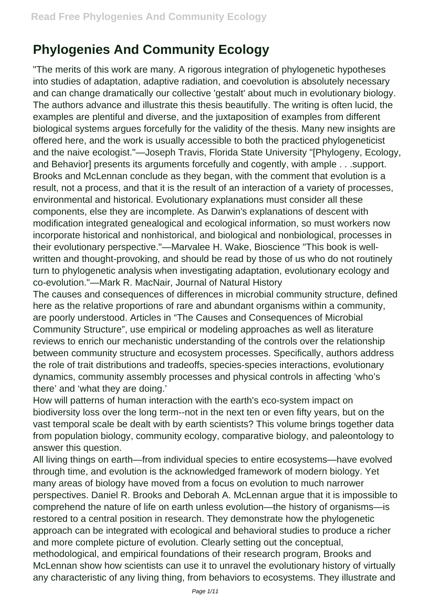## **Phylogenies And Community Ecology**

"The merits of this work are many. A rigorous integration of phylogenetic hypotheses into studies of adaptation, adaptive radiation, and coevolution is absolutely necessary and can change dramatically our collective 'gestalt' about much in evolutionary biology. The authors advance and illustrate this thesis beautifully. The writing is often lucid, the examples are plentiful and diverse, and the juxtaposition of examples from different biological systems argues forcefully for the validity of the thesis. Many new insights are offered here, and the work is usually accessible to both the practiced phylogeneticist and the naive ecologist."—Joseph Travis, Florida State University "[Phylogeny, Ecology, and Behavior] presents its arguments forcefully and cogently, with ample . . . support. Brooks and McLennan conclude as they began, with the comment that evolution is a result, not a process, and that it is the result of an interaction of a variety of processes, environmental and historical. Evolutionary explanations must consider all these components, else they are incomplete. As Darwin's explanations of descent with modification integrated genealogical and ecological information, so must workers now incorporate historical and nonhistorical, and biological and nonbiological, processes in their evolutionary perspective."—Marvalee H. Wake, Bioscience "This book is wellwritten and thought-provoking, and should be read by those of us who do not routinely turn to phylogenetic analysis when investigating adaptation, evolutionary ecology and co-evolution."—Mark R. MacNair, Journal of Natural History

The causes and consequences of differences in microbial community structure, defined here as the relative proportions of rare and abundant organisms within a community, are poorly understood. Articles in "The Causes and Consequences of Microbial Community Structure", use empirical or modeling approaches as well as literature reviews to enrich our mechanistic understanding of the controls over the relationship between community structure and ecosystem processes. Specifically, authors address the role of trait distributions and tradeoffs, species-species interactions, evolutionary dynamics, community assembly processes and physical controls in affecting 'who's there' and 'what they are doing.'

How will patterns of human interaction with the earth's eco-system impact on biodiversity loss over the long term--not in the next ten or even fifty years, but on the vast temporal scale be dealt with by earth scientists? This volume brings together data from population biology, community ecology, comparative biology, and paleontology to answer this question.

All living things on earth—from individual species to entire ecosystems—have evolved through time, and evolution is the acknowledged framework of modern biology. Yet many areas of biology have moved from a focus on evolution to much narrower perspectives. Daniel R. Brooks and Deborah A. McLennan argue that it is impossible to comprehend the nature of life on earth unless evolution—the history of organisms—is restored to a central position in research. They demonstrate how the phylogenetic approach can be integrated with ecological and behavioral studies to produce a richer and more complete picture of evolution. Clearly setting out the conceptual, methodological, and empirical foundations of their research program, Brooks and McLennan show how scientists can use it to unravel the evolutionary history of virtually any characteristic of any living thing, from behaviors to ecosystems. They illustrate and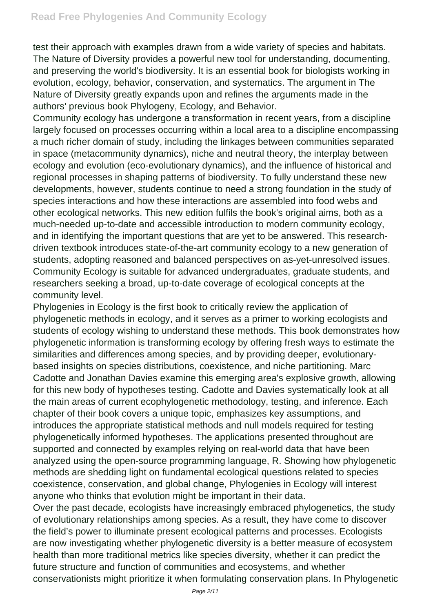test their approach with examples drawn from a wide variety of species and habitats. The Nature of Diversity provides a powerful new tool for understanding, documenting, and preserving the world's biodiversity. It is an essential book for biologists working in evolution, ecology, behavior, conservation, and systematics. The argument in The Nature of Diversity greatly expands upon and refines the arguments made in the authors' previous book Phylogeny, Ecology, and Behavior.

Community ecology has undergone a transformation in recent years, from a discipline largely focused on processes occurring within a local area to a discipline encompassing a much richer domain of study, including the linkages between communities separated in space (metacommunity dynamics), niche and neutral theory, the interplay between ecology and evolution (eco-evolutionary dynamics), and the influence of historical and regional processes in shaping patterns of biodiversity. To fully understand these new developments, however, students continue to need a strong foundation in the study of species interactions and how these interactions are assembled into food webs and other ecological networks. This new edition fulfils the book's original aims, both as a much-needed up-to-date and accessible introduction to modern community ecology, and in identifying the important questions that are yet to be answered. This researchdriven textbook introduces state-of-the-art community ecology to a new generation of students, adopting reasoned and balanced perspectives on as-yet-unresolved issues. Community Ecology is suitable for advanced undergraduates, graduate students, and researchers seeking a broad, up-to-date coverage of ecological concepts at the community level.

Phylogenies in Ecology is the first book to critically review the application of phylogenetic methods in ecology, and it serves as a primer to working ecologists and students of ecology wishing to understand these methods. This book demonstrates how phylogenetic information is transforming ecology by offering fresh ways to estimate the similarities and differences among species, and by providing deeper, evolutionarybased insights on species distributions, coexistence, and niche partitioning. Marc Cadotte and Jonathan Davies examine this emerging area's explosive growth, allowing for this new body of hypotheses testing. Cadotte and Davies systematically look at all the main areas of current ecophylogenetic methodology, testing, and inference. Each chapter of their book covers a unique topic, emphasizes key assumptions, and introduces the appropriate statistical methods and null models required for testing phylogenetically informed hypotheses. The applications presented throughout are supported and connected by examples relying on real-world data that have been analyzed using the open-source programming language, R. Showing how phylogenetic methods are shedding light on fundamental ecological questions related to species coexistence, conservation, and global change, Phylogenies in Ecology will interest anyone who thinks that evolution might be important in their data.

Over the past decade, ecologists have increasingly embraced phylogenetics, the study of evolutionary relationships among species. As a result, they have come to discover the field's power to illuminate present ecological patterns and processes. Ecologists are now investigating whether phylogenetic diversity is a better measure of ecosystem health than more traditional metrics like species diversity, whether it can predict the future structure and function of communities and ecosystems, and whether conservationists might prioritize it when formulating conservation plans. In Phylogenetic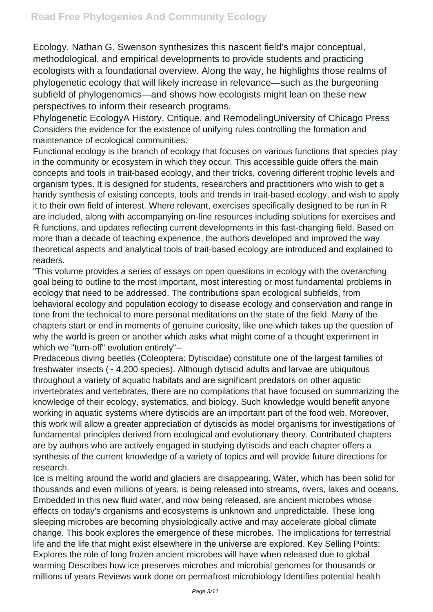Ecology, Nathan G. Swenson synthesizes this nascent field's major conceptual, methodological, and empirical developments to provide students and practicing ecologists with a foundational overview. Along the way, he highlights those realms of phylogenetic ecology that will likely increase in relevance—such as the burgeoning subfield of phylogenomics—and shows how ecologists might lean on these new perspectives to inform their research programs.

Phylogenetic EcologyA History, Critique, and RemodelingUniversity of Chicago Press Considers the evidence for the existence of unifying rules controlling the formation and maintenance of ecological communities.

Functional ecology is the branch of ecology that focuses on various functions that species play in the community or ecosystem in which they occur. This accessible guide offers the main concepts and tools in trait-based ecology, and their tricks, covering different trophic levels and organism types. It is designed for students, researchers and practitioners who wish to get a handy synthesis of existing concepts, tools and trends in trait-based ecology, and wish to apply it to their own field of interest. Where relevant, exercises specifically designed to be run in R are included, along with accompanying on-line resources including solutions for exercises and R functions, and updates reflecting current developments in this fast-changing field. Based on more than a decade of teaching experience, the authors developed and improved the way theoretical aspects and analytical tools of trait-based ecology are introduced and explained to readers.

"This volume provides a series of essays on open questions in ecology with the overarching goal being to outline to the most important, most interesting or most fundamental problems in ecology that need to be addressed. The contributions span ecological subfields, from behavioral ecology and population ecology to disease ecology and conservation and range in tone from the technical to more personal meditations on the state of the field. Many of the chapters start or end in moments of genuine curiosity, like one which takes up the question of why the world is green or another which asks what might come of a thought experiment in which we "turn-off" evolution entirely"--

Predaceous diving beetles (Coleoptera: Dytiscidae) constitute one of the largest families of freshwater insects (~ 4,200 species). Although dytiscid adults and larvae are ubiquitous throughout a variety of aquatic habitats and are significant predators on other aquatic invertebrates and vertebrates, there are no compilations that have focused on summarizing the knowledge of their ecology, systematics, and biology. Such knowledge would benefit anyone working in aquatic systems where dytiscids are an important part of the food web. Moreover, this work will allow a greater appreciation of dytiscids as model organisms for investigations of fundamental principles derived from ecological and evolutionary theory. Contributed chapters are by authors who are actively engaged in studying dytiscids and each chapter offers a synthesis of the current knowledge of a variety of topics and will provide future directions for research.

Ice is melting around the world and glaciers are disappearing. Water, which has been solid for thousands and even millions of years, is being released into streams, rivers, lakes and oceans. Embedded in this new fluid water, and now being released, are ancient microbes whose effects on today's organisms and ecosystems is unknown and unpredictable. These long sleeping microbes are becoming physiologically active and may accelerate global climate change. This book explores the emergence of these microbes. The implications for terrestrial life and the life that might exist elsewhere in the universe are explored. Key Selling Points: Explores the role of long frozen ancient microbes will have when released due to global warming Describes how ice preserves microbes and microbial genomes for thousands or millions of years Reviews work done on permafrost microbiology Identifies potential health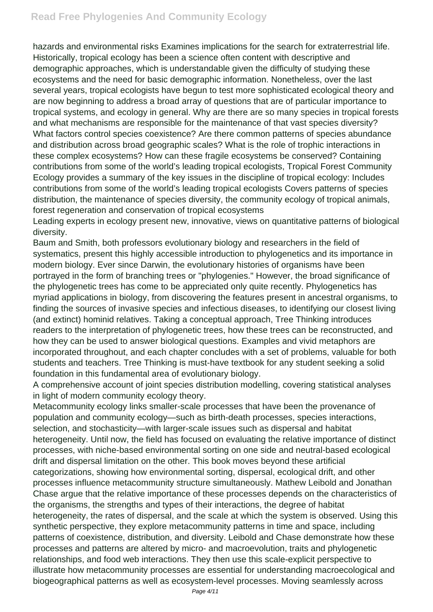hazards and environmental risks Examines implications for the search for extraterrestrial life. Historically, tropical ecology has been a science often content with descriptive and demographic approaches, which is understandable given the difficulty of studying these ecosystems and the need for basic demographic information. Nonetheless, over the last several years, tropical ecologists have begun to test more sophisticated ecological theory and are now beginning to address a broad array of questions that are of particular importance to tropical systems, and ecology in general. Why are there are so many species in tropical forests and what mechanisms are responsible for the maintenance of that vast species diversity? What factors control species coexistence? Are there common patterns of species abundance and distribution across broad geographic scales? What is the role of trophic interactions in these complex ecosystems? How can these fragile ecosystems be conserved? Containing contributions from some of the world's leading tropical ecologists, Tropical Forest Community Ecology provides a summary of the key issues in the discipline of tropical ecology: Includes contributions from some of the world's leading tropical ecologists Covers patterns of species distribution, the maintenance of species diversity, the community ecology of tropical animals, forest regeneration and conservation of tropical ecosystems

Leading experts in ecology present new, innovative, views on quantitative patterns of biological diversity.

Baum and Smith, both professors evolutionary biology and researchers in the field of systematics, present this highly accessible introduction to phylogenetics and its importance in modern biology. Ever since Darwin, the evolutionary histories of organisms have been portrayed in the form of branching trees or "phylogenies." However, the broad significance of the phylogenetic trees has come to be appreciated only quite recently. Phylogenetics has myriad applications in biology, from discovering the features present in ancestral organisms, to finding the sources of invasive species and infectious diseases, to identifying our closest living (and extinct) hominid relatives. Taking a conceptual approach, Tree Thinking introduces readers to the interpretation of phylogenetic trees, how these trees can be reconstructed, and how they can be used to answer biological questions. Examples and vivid metaphors are incorporated throughout, and each chapter concludes with a set of problems, valuable for both students and teachers. Tree Thinking is must-have textbook for any student seeking a solid foundation in this fundamental area of evolutionary biology.

A comprehensive account of joint species distribution modelling, covering statistical analyses in light of modern community ecology theory.

Metacommunity ecology links smaller-scale processes that have been the provenance of population and community ecology—such as birth-death processes, species interactions, selection, and stochasticity—with larger-scale issues such as dispersal and habitat heterogeneity. Until now, the field has focused on evaluating the relative importance of distinct processes, with niche-based environmental sorting on one side and neutral-based ecological drift and dispersal limitation on the other. This book moves beyond these artificial categorizations, showing how environmental sorting, dispersal, ecological drift, and other processes influence metacommunity structure simultaneously. Mathew Leibold and Jonathan Chase argue that the relative importance of these processes depends on the characteristics of the organisms, the strengths and types of their interactions, the degree of habitat heterogeneity, the rates of dispersal, and the scale at which the system is observed. Using this synthetic perspective, they explore metacommunity patterns in time and space, including patterns of coexistence, distribution, and diversity. Leibold and Chase demonstrate how these processes and patterns are altered by micro- and macroevolution, traits and phylogenetic relationships, and food web interactions. They then use this scale-explicit perspective to illustrate how metacommunity processes are essential for understanding macroecological and biogeographical patterns as well as ecosystem-level processes. Moving seamlessly across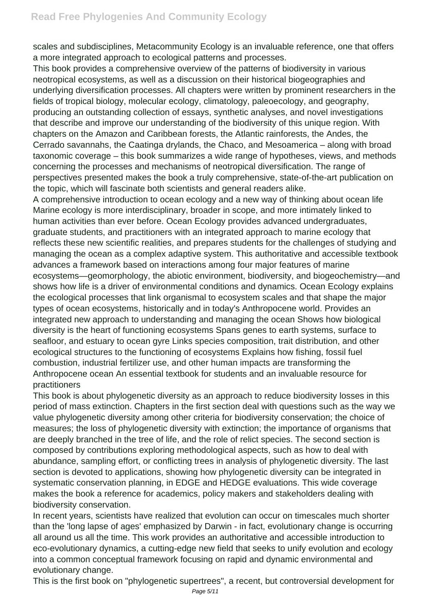scales and subdisciplines, Metacommunity Ecology is an invaluable reference, one that offers a more integrated approach to ecological patterns and processes.

This book provides a comprehensive overview of the patterns of biodiversity in various neotropical ecosystems, as well as a discussion on their historical biogeographies and underlying diversification processes. All chapters were written by prominent researchers in the fields of tropical biology, molecular ecology, climatology, paleoecology, and geography, producing an outstanding collection of essays, synthetic analyses, and novel investigations that describe and improve our understanding of the biodiversity of this unique region. With chapters on the Amazon and Caribbean forests, the Atlantic rainforests, the Andes, the Cerrado savannahs, the Caatinga drylands, the Chaco, and Mesoamerica – along with broad taxonomic coverage – this book summarizes a wide range of hypotheses, views, and methods concerning the processes and mechanisms of neotropical diversification. The range of perspectives presented makes the book a truly comprehensive, state-of-the-art publication on the topic, which will fascinate both scientists and general readers alike.

A comprehensive introduction to ocean ecology and a new way of thinking about ocean life Marine ecology is more interdisciplinary, broader in scope, and more intimately linked to human activities than ever before. Ocean Ecology provides advanced undergraduates, graduate students, and practitioners with an integrated approach to marine ecology that reflects these new scientific realities, and prepares students for the challenges of studying and managing the ocean as a complex adaptive system. This authoritative and accessible textbook advances a framework based on interactions among four major features of marine ecosystems—geomorphology, the abiotic environment, biodiversity, and biogeochemistry—and shows how life is a driver of environmental conditions and dynamics. Ocean Ecology explains the ecological processes that link organismal to ecosystem scales and that shape the major types of ocean ecosystems, historically and in today's Anthropocene world. Provides an integrated new approach to understanding and managing the ocean Shows how biological diversity is the heart of functioning ecosystems Spans genes to earth systems, surface to seafloor, and estuary to ocean gyre Links species composition, trait distribution, and other ecological structures to the functioning of ecosystems Explains how fishing, fossil fuel combustion, industrial fertilizer use, and other human impacts are transforming the Anthropocene ocean An essential textbook for students and an invaluable resource for practitioners

This book is about phylogenetic diversity as an approach to reduce biodiversity losses in this period of mass extinction. Chapters in the first section deal with questions such as the way we value phylogenetic diversity among other criteria for biodiversity conservation; the choice of measures; the loss of phylogenetic diversity with extinction; the importance of organisms that are deeply branched in the tree of life, and the role of relict species. The second section is composed by contributions exploring methodological aspects, such as how to deal with abundance, sampling effort, or conflicting trees in analysis of phylogenetic diversity. The last section is devoted to applications, showing how phylogenetic diversity can be integrated in systematic conservation planning, in EDGE and HEDGE evaluations. This wide coverage makes the book a reference for academics, policy makers and stakeholders dealing with biodiversity conservation.

In recent years, scientists have realized that evolution can occur on timescales much shorter than the 'long lapse of ages' emphasized by Darwin - in fact, evolutionary change is occurring all around us all the time. This work provides an authoritative and accessible introduction to eco-evolutionary dynamics, a cutting-edge new field that seeks to unify evolution and ecology into a common conceptual framework focusing on rapid and dynamic environmental and evolutionary change.

This is the first book on "phylogenetic supertrees", a recent, but controversial development for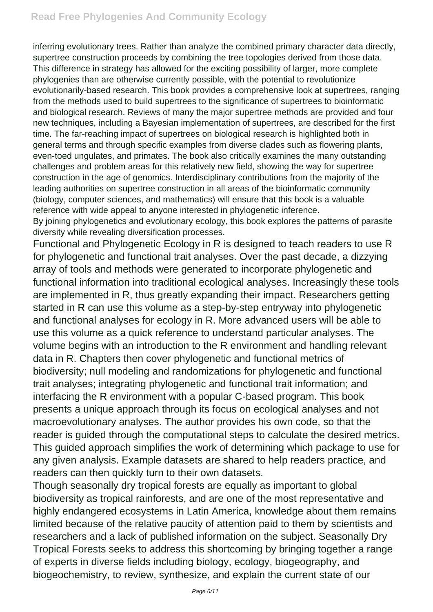inferring evolutionary trees. Rather than analyze the combined primary character data directly, supertree construction proceeds by combining the tree topologies derived from those data. This difference in strategy has allowed for the exciting possibility of larger, more complete phylogenies than are otherwise currently possible, with the potential to revolutionize evolutionarily-based research. This book provides a comprehensive look at supertrees, ranging from the methods used to build supertrees to the significance of supertrees to bioinformatic and biological research. Reviews of many the major supertree methods are provided and four new techniques, including a Bayesian implementation of supertrees, are described for the first time. The far-reaching impact of supertrees on biological research is highlighted both in general terms and through specific examples from diverse clades such as flowering plants, even-toed ungulates, and primates. The book also critically examines the many outstanding challenges and problem areas for this relatively new field, showing the way for supertree construction in the age of genomics. Interdisciplinary contributions from the majority of the leading authorities on supertree construction in all areas of the bioinformatic community (biology, computer sciences, and mathematics) will ensure that this book is a valuable reference with wide appeal to anyone interested in phylogenetic inference.

By joining phylogenetics and evolutionary ecology, this book explores the patterns of parasite diversity while revealing diversification processes.

Functional and Phylogenetic Ecology in R is designed to teach readers to use R for phylogenetic and functional trait analyses. Over the past decade, a dizzying array of tools and methods were generated to incorporate phylogenetic and functional information into traditional ecological analyses. Increasingly these tools are implemented in R, thus greatly expanding their impact. Researchers getting started in R can use this volume as a step-by-step entryway into phylogenetic and functional analyses for ecology in R. More advanced users will be able to use this volume as a quick reference to understand particular analyses. The volume begins with an introduction to the R environment and handling relevant data in R. Chapters then cover phylogenetic and functional metrics of biodiversity; null modeling and randomizations for phylogenetic and functional trait analyses; integrating phylogenetic and functional trait information; and interfacing the R environment with a popular C-based program. This book presents a unique approach through its focus on ecological analyses and not macroevolutionary analyses. The author provides his own code, so that the reader is guided through the computational steps to calculate the desired metrics. This guided approach simplifies the work of determining which package to use for any given analysis. Example datasets are shared to help readers practice, and readers can then quickly turn to their own datasets.

Though seasonally dry tropical forests are equally as important to global biodiversity as tropical rainforests, and are one of the most representative and highly endangered ecosystems in Latin America, knowledge about them remains limited because of the relative paucity of attention paid to them by scientists and researchers and a lack of published information on the subject. Seasonally Dry Tropical Forests seeks to address this shortcoming by bringing together a range of experts in diverse fields including biology, ecology, biogeography, and biogeochemistry, to review, synthesize, and explain the current state of our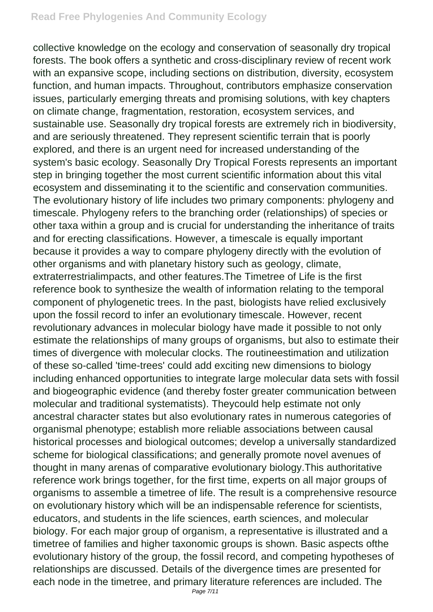collective knowledge on the ecology and conservation of seasonally dry tropical forests. The book offers a synthetic and cross-disciplinary review of recent work with an expansive scope, including sections on distribution, diversity, ecosystem function, and human impacts. Throughout, contributors emphasize conservation issues, particularly emerging threats and promising solutions, with key chapters on climate change, fragmentation, restoration, ecosystem services, and sustainable use. Seasonally dry tropical forests are extremely rich in biodiversity, and are seriously threatened. They represent scientific terrain that is poorly explored, and there is an urgent need for increased understanding of the system's basic ecology. Seasonally Dry Tropical Forests represents an important step in bringing together the most current scientific information about this vital ecosystem and disseminating it to the scientific and conservation communities. The evolutionary history of life includes two primary components: phylogeny and timescale. Phylogeny refers to the branching order (relationships) of species or other taxa within a group and is crucial for understanding the inheritance of traits and for erecting classifications. However, a timescale is equally important because it provides a way to compare phylogeny directly with the evolution of other organisms and with planetary history such as geology, climate, extraterrestrialimpacts, and other features.The Timetree of Life is the first reference book to synthesize the wealth of information relating to the temporal component of phylogenetic trees. In the past, biologists have relied exclusively upon the fossil record to infer an evolutionary timescale. However, recent revolutionary advances in molecular biology have made it possible to not only estimate the relationships of many groups of organisms, but also to estimate their times of divergence with molecular clocks. The routineestimation and utilization of these so-called 'time-trees' could add exciting new dimensions to biology including enhanced opportunities to integrate large molecular data sets with fossil and biogeographic evidence (and thereby foster greater communication between molecular and traditional systematists). Theycould help estimate not only ancestral character states but also evolutionary rates in numerous categories of organismal phenotype; establish more reliable associations between causal historical processes and biological outcomes; develop a universally standardized scheme for biological classifications; and generally promote novel avenues of thought in many arenas of comparative evolutionary biology.This authoritative reference work brings together, for the first time, experts on all major groups of organisms to assemble a timetree of life. The result is a comprehensive resource on evolutionary history which will be an indispensable reference for scientists, educators, and students in the life sciences, earth sciences, and molecular biology. For each major group of organism, a representative is illustrated and a timetree of families and higher taxonomic groups is shown. Basic aspects ofthe evolutionary history of the group, the fossil record, and competing hypotheses of relationships are discussed. Details of the divergence times are presented for each node in the timetree, and primary literature references are included. The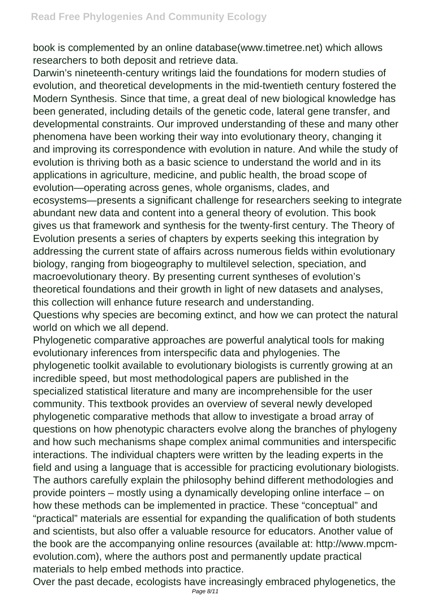book is complemented by an online database(www.timetree.net) which allows researchers to both deposit and retrieve data.

Darwin's nineteenth-century writings laid the foundations for modern studies of evolution, and theoretical developments in the mid-twentieth century fostered the Modern Synthesis. Since that time, a great deal of new biological knowledge has been generated, including details of the genetic code, lateral gene transfer, and developmental constraints. Our improved understanding of these and many other phenomena have been working their way into evolutionary theory, changing it and improving its correspondence with evolution in nature. And while the study of evolution is thriving both as a basic science to understand the world and in its applications in agriculture, medicine, and public health, the broad scope of evolution—operating across genes, whole organisms, clades, and ecosystems—presents a significant challenge for researchers seeking to integrate abundant new data and content into a general theory of evolution. This book gives us that framework and synthesis for the twenty-first century. The Theory of Evolution presents a series of chapters by experts seeking this integration by addressing the current state of affairs across numerous fields within evolutionary biology, ranging from biogeography to multilevel selection, speciation, and macroevolutionary theory. By presenting current syntheses of evolution's theoretical foundations and their growth in light of new datasets and analyses, this collection will enhance future research and understanding.

Questions why species are becoming extinct, and how we can protect the natural world on which we all depend.

Phylogenetic comparative approaches are powerful analytical tools for making evolutionary inferences from interspecific data and phylogenies. The phylogenetic toolkit available to evolutionary biologists is currently growing at an incredible speed, but most methodological papers are published in the specialized statistical literature and many are incomprehensible for the user community. This textbook provides an overview of several newly developed phylogenetic comparative methods that allow to investigate a broad array of questions on how phenotypic characters evolve along the branches of phylogeny and how such mechanisms shape complex animal communities and interspecific interactions. The individual chapters were written by the leading experts in the field and using a language that is accessible for practicing evolutionary biologists. The authors carefully explain the philosophy behind different methodologies and provide pointers – mostly using a dynamically developing online interface – on how these methods can be implemented in practice. These "conceptual" and "practical" materials are essential for expanding the qualification of both students and scientists, but also offer a valuable resource for educators. Another value of the book are the accompanying online resources (available at: http://www.mpcmevolution.com), where the authors post and permanently update practical materials to help embed methods into practice.

Over the past decade, ecologists have increasingly embraced phylogenetics, the Page 8/11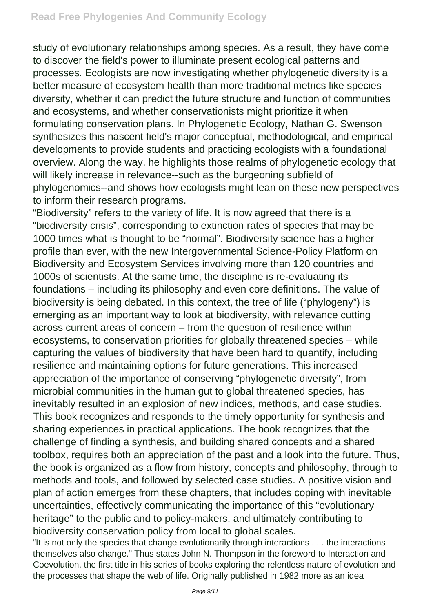study of evolutionary relationships among species. As a result, they have come to discover the field's power to illuminate present ecological patterns and processes. Ecologists are now investigating whether phylogenetic diversity is a better measure of ecosystem health than more traditional metrics like species diversity, whether it can predict the future structure and function of communities and ecosystems, and whether conservationists might prioritize it when formulating conservation plans. In Phylogenetic Ecology, Nathan G. Swenson synthesizes this nascent field's major conceptual, methodological, and empirical developments to provide students and practicing ecologists with a foundational overview. Along the way, he highlights those realms of phylogenetic ecology that will likely increase in relevance--such as the burgeoning subfield of phylogenomics--and shows how ecologists might lean on these new perspectives to inform their research programs.

"Biodiversity" refers to the variety of life. It is now agreed that there is a "biodiversity crisis", corresponding to extinction rates of species that may be 1000 times what is thought to be "normal". Biodiversity science has a higher profile than ever, with the new Intergovernmental Science-Policy Platform on Biodiversity and Ecosystem Services involving more than 120 countries and 1000s of scientists. At the same time, the discipline is re-evaluating its foundations – including its philosophy and even core definitions. The value of biodiversity is being debated. In this context, the tree of life ("phylogeny") is emerging as an important way to look at biodiversity, with relevance cutting across current areas of concern – from the question of resilience within ecosystems, to conservation priorities for globally threatened species – while capturing the values of biodiversity that have been hard to quantify, including resilience and maintaining options for future generations. This increased appreciation of the importance of conserving "phylogenetic diversity", from microbial communities in the human gut to global threatened species, has inevitably resulted in an explosion of new indices, methods, and case studies. This book recognizes and responds to the timely opportunity for synthesis and sharing experiences in practical applications. The book recognizes that the challenge of finding a synthesis, and building shared concepts and a shared toolbox, requires both an appreciation of the past and a look into the future. Thus, the book is organized as a flow from history, concepts and philosophy, through to methods and tools, and followed by selected case studies. A positive vision and plan of action emerges from these chapters, that includes coping with inevitable uncertainties, effectively communicating the importance of this "evolutionary heritage" to the public and to policy-makers, and ultimately contributing to biodiversity conservation policy from local to global scales.

"It is not only the species that change evolutionarily through interactions . . . the interactions themselves also change." Thus states John N. Thompson in the foreword to Interaction and Coevolution, the first title in his series of books exploring the relentless nature of evolution and the processes that shape the web of life. Originally published in 1982 more as an idea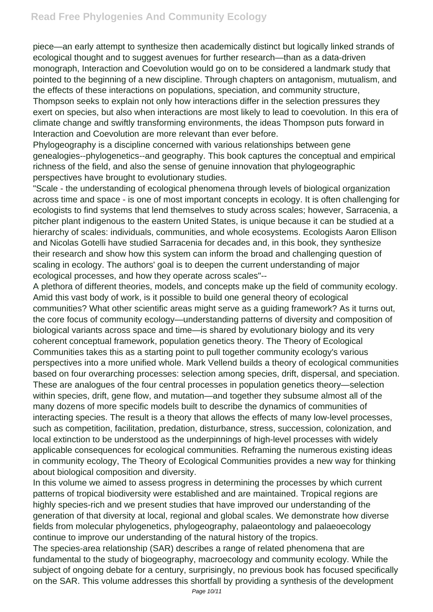piece—an early attempt to synthesize then academically distinct but logically linked strands of ecological thought and to suggest avenues for further research—than as a data-driven monograph, Interaction and Coevolution would go on to be considered a landmark study that pointed to the beginning of a new discipline. Through chapters on antagonism, mutualism, and the effects of these interactions on populations, speciation, and community structure, Thompson seeks to explain not only how interactions differ in the selection pressures they exert on species, but also when interactions are most likely to lead to coevolution. In this era of climate change and swiftly transforming environments, the ideas Thompson puts forward in Interaction and Coevolution are more relevant than ever before.

Phylogeography is a discipline concerned with various relationships between gene genealogies--phylogenetics--and geography. This book captures the conceptual and empirical richness of the field, and also the sense of genuine innovation that phylogeographic perspectives have brought to evolutionary studies.

"Scale - the understanding of ecological phenomena through levels of biological organization across time and space - is one of most important concepts in ecology. It is often challenging for ecologists to find systems that lend themselves to study across scales; however, Sarracenia, a pitcher plant indigenous to the eastern United States, is unique because it can be studied at a hierarchy of scales: individuals, communities, and whole ecosystems. Ecologists Aaron Ellison and Nicolas Gotelli have studied Sarracenia for decades and, in this book, they synthesize their research and show how this system can inform the broad and challenging question of scaling in ecology. The authors' goal is to deepen the current understanding of major ecological processes, and how they operate across scales"--

A plethora of different theories, models, and concepts make up the field of community ecology. Amid this vast body of work, is it possible to build one general theory of ecological communities? What other scientific areas might serve as a guiding framework? As it turns out, the core focus of community ecology—understanding patterns of diversity and composition of biological variants across space and time—is shared by evolutionary biology and its very coherent conceptual framework, population genetics theory. The Theory of Ecological Communities takes this as a starting point to pull together community ecology's various perspectives into a more unified whole. Mark Vellend builds a theory of ecological communities based on four overarching processes: selection among species, drift, dispersal, and speciation. These are analogues of the four central processes in population genetics theory—selection within species, drift, gene flow, and mutation—and together they subsume almost all of the many dozens of more specific models built to describe the dynamics of communities of interacting species. The result is a theory that allows the effects of many low-level processes, such as competition, facilitation, predation, disturbance, stress, succession, colonization, and local extinction to be understood as the underpinnings of high-level processes with widely applicable consequences for ecological communities. Reframing the numerous existing ideas in community ecology, The Theory of Ecological Communities provides a new way for thinking about biological composition and diversity.

In this volume we aimed to assess progress in determining the processes by which current patterns of tropical biodiversity were established and are maintained. Tropical regions are highly species-rich and we present studies that have improved our understanding of the generation of that diversity at local, regional and global scales. We demonstrate how diverse fields from molecular phylogenetics, phylogeography, palaeontology and palaeoecology continue to improve our understanding of the natural history of the tropics.

The species-area relationship (SAR) describes a range of related phenomena that are fundamental to the study of biogeography, macroecology and community ecology. While the subject of ongoing debate for a century, surprisingly, no previous book has focused specifically on the SAR. This volume addresses this shortfall by providing a synthesis of the development